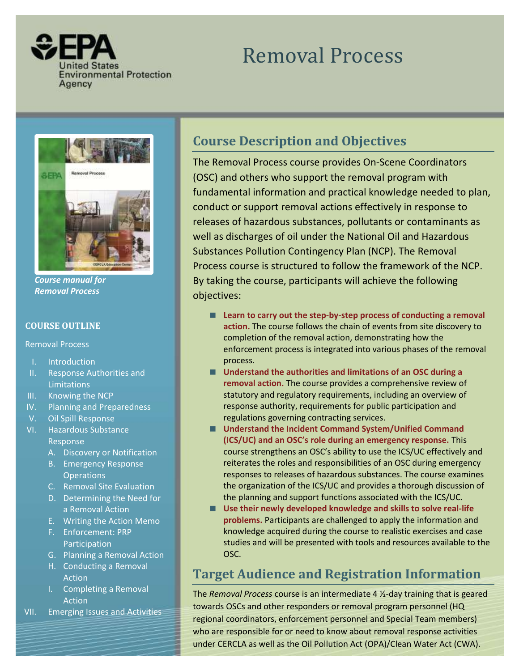

# Removal Process



*Course manual for Removal Process* 

### **COURSE OUTLINE**

Removal Process

- I. Introduction
- II. Response Authorities and **Limitations**
- III. Knowing the NCP
- IV. Planning and Preparedness
- V. Oil Spill Response
- VI. Hazardous Substance Response
	- A. Discovery or Notification
	- B. Emergency Response **Operations**
	- C. Removal Site Evaluation
	- D. Determining the Need for a Removal Action
	- E. Writing the Action Memo
	- F. Enforcement: PRP Participation
	- G. Planning a Removal Action
	- H. Conducting a Removal Action
	- I. Completing a Removal Action
- VII. Emerging Issues and Activities

# **Course Description and Objectives**

 (OSC) and others who support the removal program with conduct or support removal actions effectively in response to well as discharges of oil under the National Oil and Hazardous Process course is structured to follow the framework of the NCP. By taking the course, participants will achieve the following The Removal Process course provides On‐Scene Coordinators fundamental information and practical knowledge needed to plan, releases of hazardous substances, pollutants or contaminants as Substances Pollution Contingency Plan (NCP). The Removal objectives:

- Learn to carry out the step-by-step process of conducting a removal **action.** The course follows the chain of events from site discovery to completion of the removal action, demonstrating how the enforcement process is integrated into various phases of the removal process.
- Understand the authorities and limitations of an OSC during a **removal action.** The course provides a comprehensive review of statutory and regulatory requirements, including an overview of response authority, requirements for public participation and regulations governing contracting services.
- Understand the Incident Command System/Unified Command  **(ICS/UC) and an OSC's role during an emergency response.** This course strengthens an OSC's ability to use the ICS/UC effectively and reiterates the roles and responsibilities of an OSC during emergency responses to releases of hazardous substances. The course examines the organization of the ICS/UC and provides a thorough discussion of the planning and support functions associated with the ICS/UC.
- Use their newly developed knowledge and skills to solve real-life **problems.** Participants are challenged to apply the information and knowledge acquired during the course to realistic exercises and case studies and will be presented with tools and resources available to the OSC.

# **Target Audience and Registration Information**

regional coordinators, enforcement personnel and Special Team members) The *Removal Process* course is an intermediate 4 ½‐day training that is geared towards OSCs and other responders or removal program personnel (HQ who are responsible for or need to know about removal response activities under CERCLA as well as the Oil Pollution Act (OPA)/Clean Water Act (CWA).